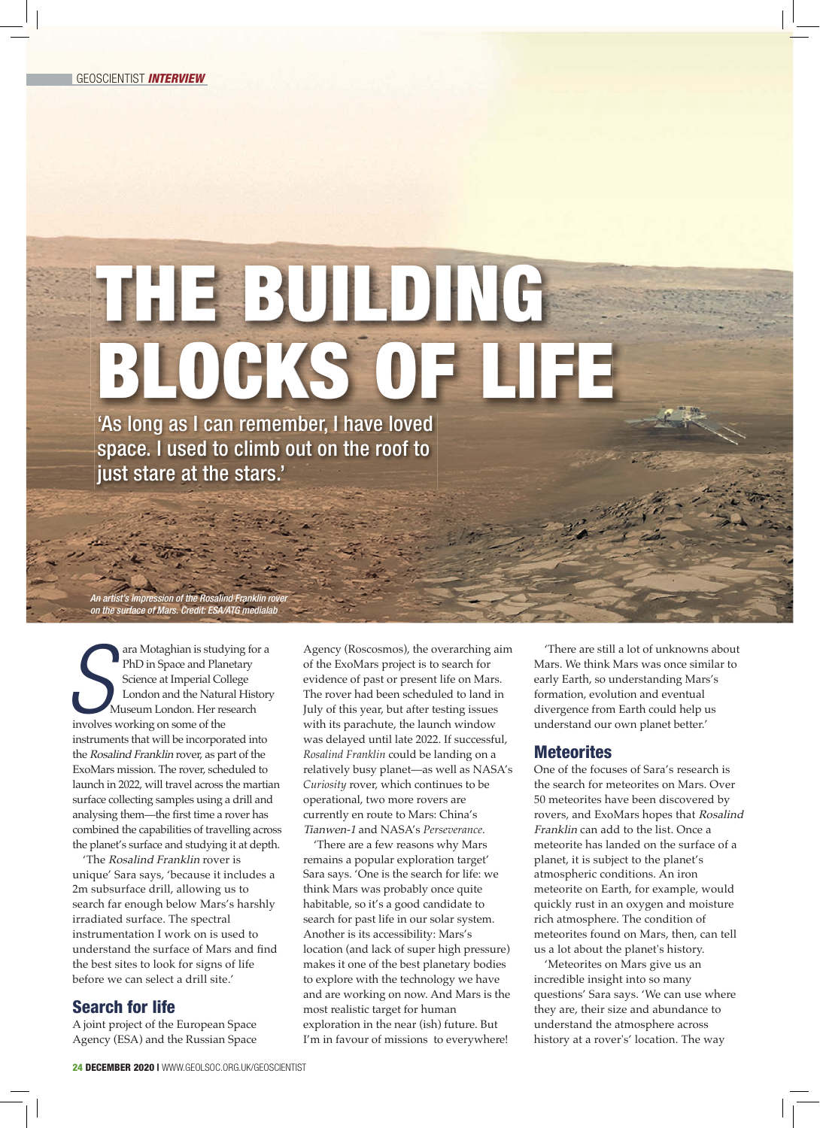## THE BUILDING BLOCKS OF LIFE 'As long as I can remember, I have loved

space. I used to climb out on the roof to just stare at the stars.'

An artist's impression of the Rosalind Franklin rover on the surface of Mars. Credit: ESA/ATG medialab

**S S S ERECAL CONSIGNATION**<br>
Science at Imperial Col<br>
London and the Natur<br>
Museum London. Her res<br>
involves working on some of the ara Motaghian is studying for a PhD in Space and Planetary Science at Imperial College London and the Natural History Museum London. Her research instruments that will be incorporated into the Rosalind Franklin rover, as part of the ExoMars mission. The rover, scheduled to launch in 2022, will travel across the martian surface collecting samples using a drill and analysing them—the first time a rover has combined the capabilities of travelling across the planet's surface and studying it at depth.

'The Rosalind Franklin rover is unique' Sara says, 'because it includes a 2m subsurface drill, allowing us to search far enough below Mars's harshly irradiated surface. The spectral instrumentation I work on is used to understand the surface of Mars and find the best sites to look for signs of life before we can select a drill site.'

## Search for life

A joint project of the European Space Agency (ESA) and the Russian Space

Agency (Roscosmos), the overarching aim of the ExoMars project is to search for evidence of past or present life on Mars. The rover had been scheduled to land in July of this year, but after testing issues with its parachute, the launch window was delayed until late 2022. If successful, *Rosalind Franklin* could be landing on a relatively busy planet—as well as NASA's *Curiosity* rover, which continues to be operational, two more rovers are currently en route to Mars: China's Tianwen-1 and NASA's *Perseverance*.

'There are a few reasons why Mars remains a popular exploration target' Sara says. 'One is the search for life: we think Mars was probably once quite habitable, so it's a good candidate to search for past life in our solar system. Another is its accessibility: Mars's location (and lack of super high pressure) makes it one of the best planetary bodies to explore with the technology we have and are working on now. And Mars is the most realistic target for human exploration in the near (ish) future. But I'm in favour of missions to everywhere!

'There are still a lot of unknowns about Mars. We think Mars was once similar to early Earth, so understanding Mars's formation, evolution and eventual divergence from Earth could help us understand our own planet better.'

## **Meteorites**

One of the focuses of Sara's research is the search for meteorites on Mars. Over 50 meteorites have been discovered by rovers, and ExoMars hopes that Rosalind Franklin can add to the list. Once a meteorite has landed on the surface of a planet, it is subject to the planet's atmospheric conditions. An iron meteorite on Earth, for example, would quickly rust in an oxygen and moisture rich atmosphere. The condition of meteorites found on Mars, then, can tell us a lot about the planet's history.

'Meteorites on Mars give us an incredible insight into so many questions' Sara says. 'We can use where they are, their size and abundance to understand the atmosphere across history at a rover's' location. The way